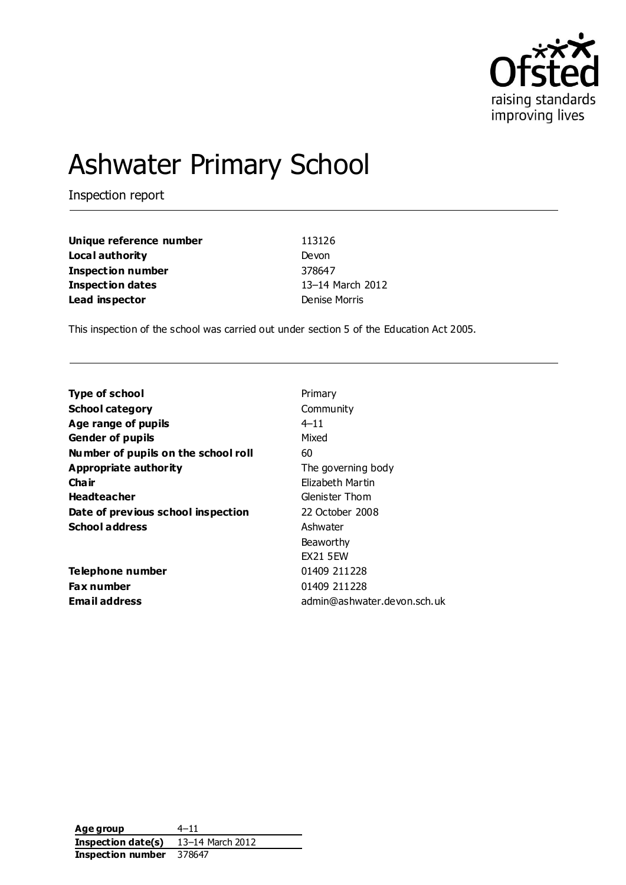

# Ashwater Primary School

Inspection report

| Unique reference number | 113126           |
|-------------------------|------------------|
| Local authority         | Devon            |
| Inspection number       | 378647           |
| Inspection dates        | 13-14 March 2012 |
| Lead inspector          | Denise Morris    |

This inspection of the school was carried out under section 5 of the Education Act 2005.

| <b>Type of school</b>               | Primary                     |
|-------------------------------------|-----------------------------|
| School category                     | Community                   |
| Age range of pupils                 | $4 - 11$                    |
| <b>Gender of pupils</b>             | Mixed                       |
| Number of pupils on the school roll | 60                          |
| Appropriate authority               | The governing body          |
| Cha ir                              | Elizabeth Martin            |
| <b>Headteacher</b>                  | Glenister Thom              |
| Date of previous school inspection  | 22 October 2008             |
| <b>School address</b>               | Ashwater                    |
|                                     | Beaworthy                   |
|                                     | <b>EX21 5 EW</b>            |
| Telephone number                    | 01409 211228                |
| <b>Fax number</b>                   | 01409 211228                |
| <b>Email address</b>                | admin@ashwater.devon.sch.uk |
|                                     |                             |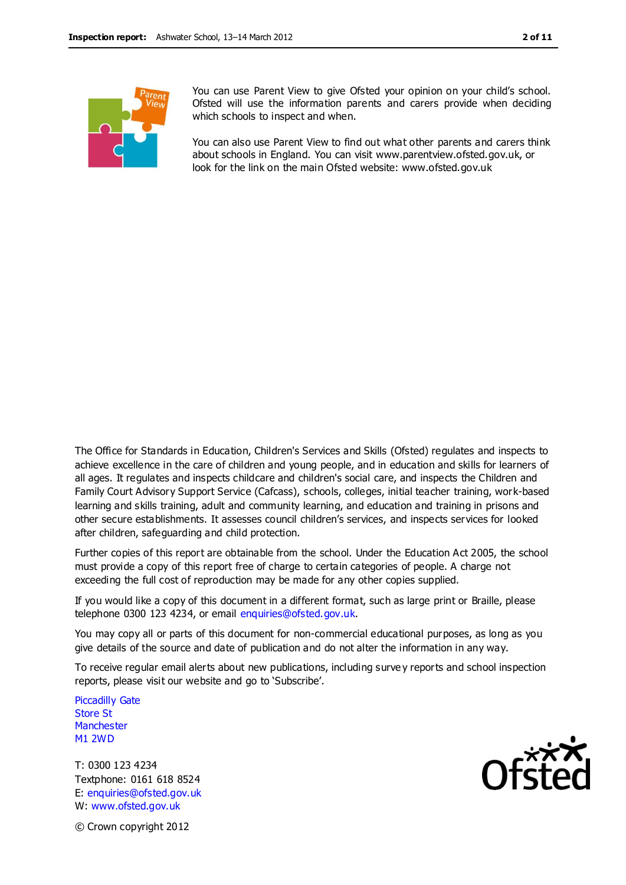

You can use Parent View to give Ofsted your opinion on your child's school. Ofsted will use the information parents and carers provide when deciding which schools to inspect and when.

You can also use Parent View to find out what other parents and carers think about schools in England. You can visit www.parentview.ofsted.gov.uk, or look for the link on the main Ofsted website: www.ofsted.gov.uk

The Office for Standards in Education, Children's Services and Skills (Ofsted) regulates and inspects to achieve excellence in the care of children and young people, and in education and skills for learners of all ages. It regulates and inspects childcare and children's social care, and inspects the Children and Family Court Advisory Support Service (Cafcass), schools, colleges, initial teacher training, work-based learning and skills training, adult and community learning, and education and training in prisons and other secure establishments. It assesses council children's services, and inspects services for looked after children, safeguarding and child protection.

Further copies of this report are obtainable from the school. Under the Education Act 2005, the school must provide a copy of this report free of charge to certain categories of people. A charge not exceeding the full cost of reproduction may be made for any other copies supplied.

If you would like a copy of this document in a different format, such as large print or Braille, please telephone 0300 123 4234, or email enquiries@ofsted.gov.uk.

You may copy all or parts of this document for non-commercial educational purposes, as long as you give details of the source and date of publication and do not alter the information in any way.

To receive regular email alerts about new publications, including surve y reports and school inspection reports, please visit our website and go to 'Subscribe'.

Piccadilly Gate Store St **Manchester** M1 2WD

T: 0300 123 4234 Textphone: 0161 618 8524 E: enquiries@ofsted.gov.uk W: www.ofsted.gov.uk



© Crown copyright 2012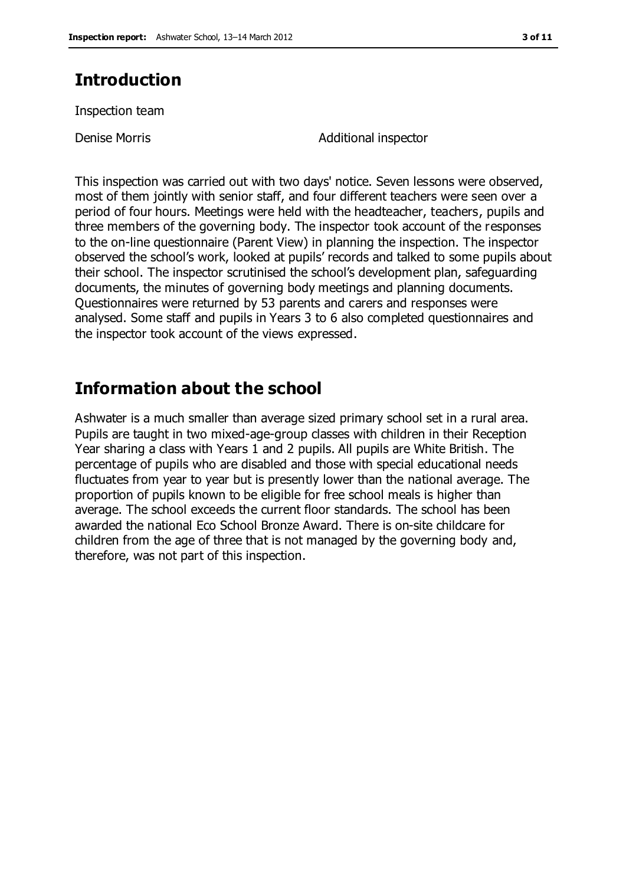# **Introduction**

Inspection team

Denise Morris **Additional** inspector

This inspection was carried out with two days' notice. Seven lessons were observed, most of them jointly with senior staff, and four different teachers were seen over a period of four hours. Meetings were held with the headteacher, teachers, pupils and three members of the governing body. The inspector took account of the responses to the on-line questionnaire (Parent View) in planning the inspection. The inspector observed the school's work, looked at pupils' records and talked to some pupils about their school. The inspector scrutinised the school's development plan, safeguarding documents, the minutes of governing body meetings and planning documents. Questionnaires were returned by 53 parents and carers and responses were analysed. Some staff and pupils in Years 3 to 6 also completed questionnaires and the inspector took account of the views expressed.

## **Information about the school**

Ashwater is a much smaller than average sized primary school set in a rural area. Pupils are taught in two mixed-age-group classes with children in their Reception Year sharing a class with Years 1 and 2 pupils. All pupils are White British. The percentage of pupils who are disabled and those with special educational needs fluctuates from year to year but is presently lower than the national average. The proportion of pupils known to be eligible for free school meals is higher than average. The school exceeds the current floor standards. The school has been awarded the national Eco School Bronze Award. There is on-site childcare for children from the age of three that is not managed by the governing body and, therefore, was not part of this inspection.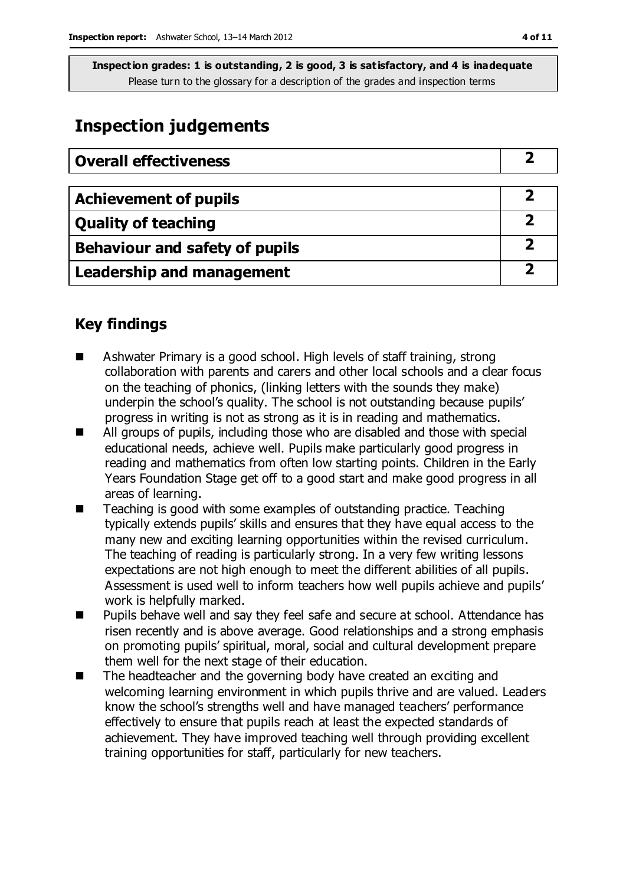## **Inspection judgements**

| <b>Overall effectiveness</b>     |  |
|----------------------------------|--|
|                                  |  |
| <b>Achievement of pupils</b>     |  |
| <b>Quality of teaching</b>       |  |
| Behaviour and safety of pupils   |  |
| <b>Leadership and management</b> |  |

### **Key findings**

- Ashwater Primary is a good school. High levels of staff training, strong collaboration with parents and carers and other local schools and a clear focus on the teaching of phonics, (linking letters with the sounds they make) underpin the school's quality. The school is not outstanding because pupils' progress in writing is not as strong as it is in reading and mathematics.
- All groups of pupils, including those who are disabled and those with special educational needs, achieve well. Pupils make particularly good progress in reading and mathematics from often low starting points. Children in the Early Years Foundation Stage get off to a good start and make good progress in all areas of learning.
- Teaching is good with some examples of outstanding practice. Teaching typically extends pupils' skills and ensures that they have equal access to the many new and exciting learning opportunities within the revised curriculum. The teaching of reading is particularly strong. In a very few writing lessons expectations are not high enough to meet the different abilities of all pupils. Assessment is used well to inform teachers how well pupils achieve and pupils' work is helpfully marked.
- Pupils behave well and say they feel safe and secure at school. Attendance has risen recently and is above average. Good relationships and a strong emphasis on promoting pupils' spiritual, moral, social and cultural development prepare them well for the next stage of their education.
- The headteacher and the governing body have created an exciting and welcoming learning environment in which pupils thrive and are valued. Leaders know the school's strengths well and have managed teachers' performance effectively to ensure that pupils reach at least the expected standards of achievement. They have improved teaching well through providing excellent training opportunities for staff, particularly for new teachers.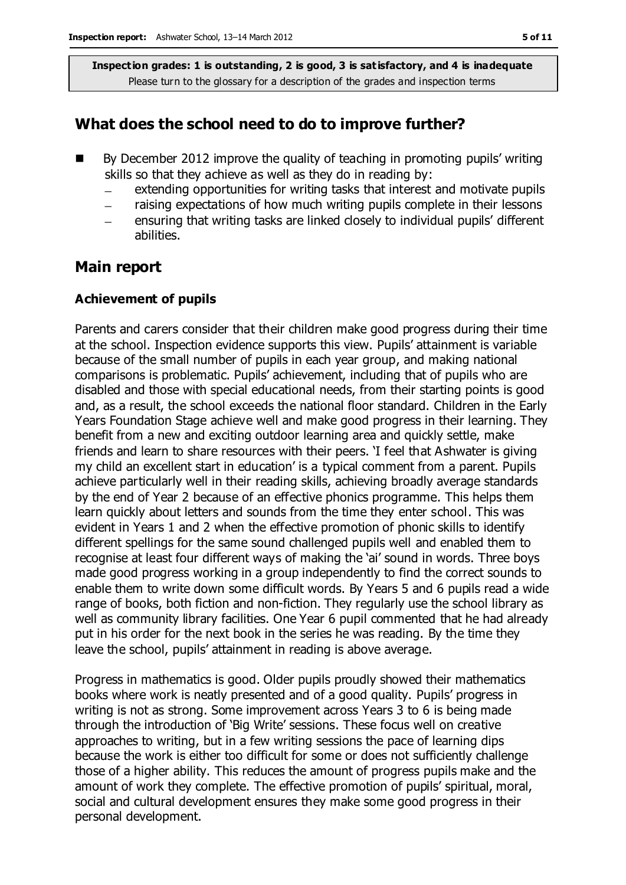### **What does the school need to do to improve further?**

- By December 2012 improve the quality of teaching in promoting pupils' writing skills so that they achieve as well as they do in reading by:
	- extending opportunities for writing tasks that interest and motivate pupils  $\equiv$
	- raising expectations of how much writing pupils complete in their lessons
	- ensuring that writing tasks are linked closely to individual pupils' different abilities.

### **Main report**

#### **Achievement of pupils**

Parents and carers consider that their children make good progress during their time at the school. Inspection evidence supports this view. Pupils' attainment is variable because of the small number of pupils in each year group, and making national comparisons is problematic. Pupils' achievement, including that of pupils who are disabled and those with special educational needs, from their starting points is good and, as a result, the school exceeds the national floor standard. Children in the Early Years Foundation Stage achieve well and make good progress in their learning. They benefit from a new and exciting outdoor learning area and quickly settle, make friends and learn to share resources with their peers. 'I feel that Ashwater is giving my child an excellent start in education' is a typical comment from a parent. Pupils achieve particularly well in their reading skills, achieving broadly average standards by the end of Year 2 because of an effective phonics programme. This helps them learn quickly about letters and sounds from the time they enter school. This was evident in Years 1 and 2 when the effective promotion of phonic skills to identify different spellings for the same sound challenged pupils well and enabled them to recognise at least four different ways of making the 'ai' sound in words. Three boys made good progress working in a group independently to find the correct sounds to enable them to write down some difficult words. By Years 5 and 6 pupils read a wide range of books, both fiction and non-fiction. They regularly use the school library as well as community library facilities. One Year 6 pupil commented that he had already put in his order for the next book in the series he was reading. By the time they leave the school, pupils' attainment in reading is above average.

Progress in mathematics is good. Older pupils proudly showed their mathematics books where work is neatly presented and of a good quality. Pupils' progress in writing is not as strong. Some improvement across Years 3 to 6 is being made through the introduction of 'Big Write' sessions. These focus well on creative approaches to writing, but in a few writing sessions the pace of learning dips because the work is either too difficult for some or does not sufficiently challenge those of a higher ability. This reduces the amount of progress pupils make and the amount of work they complete. The effective promotion of pupils' spiritual, moral, social and cultural development ensures they make some good progress in their personal development.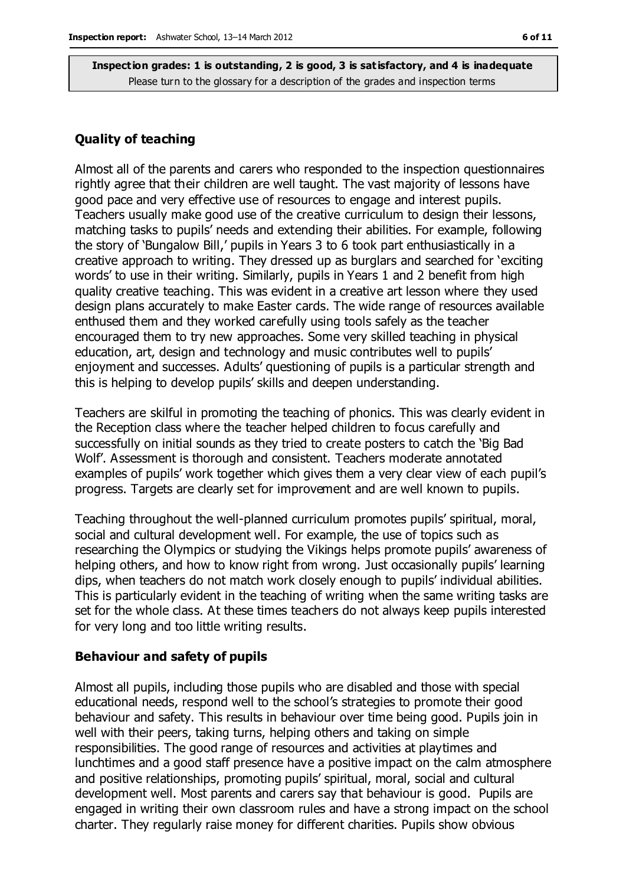#### **Quality of teaching**

Almost all of the parents and carers who responded to the inspection questionnaires rightly agree that their children are well taught. The vast majority of lessons have good pace and very effective use of resources to engage and interest pupils. Teachers usually make good use of the creative curriculum to design their lessons, matching tasks to pupils' needs and extending their abilities. For example, following the story of 'Bungalow Bill,' pupils in Years 3 to 6 took part enthusiastically in a creative approach to writing. They dressed up as burglars and searched for 'exciting words' to use in their writing. Similarly, pupils in Years 1 and 2 benefit from high quality creative teaching. This was evident in a creative art lesson where they used design plans accurately to make Easter cards. The wide range of resources available enthused them and they worked carefully using tools safely as the teacher encouraged them to try new approaches. Some very skilled teaching in physical education, art, design and technology and music contributes well to pupils' enjoyment and successes. Adults' questioning of pupils is a particular strength and this is helping to develop pupils' skills and deepen understanding.

Teachers are skilful in promoting the teaching of phonics. This was clearly evident in the Reception class where the teacher helped children to focus carefully and successfully on initial sounds as they tried to create posters to catch the 'Big Bad Wolf'. Assessment is thorough and consistent. Teachers moderate annotated examples of pupils' work together which gives them a very clear view of each pupil's progress. Targets are clearly set for improvement and are well known to pupils.

Teaching throughout the well-planned curriculum promotes pupils' spiritual, moral, social and cultural development well. For example, the use of topics such as researching the Olympics or studying the Vikings helps promote pupils' awareness of helping others, and how to know right from wrong. Just occasionally pupils' learning dips, when teachers do not match work closely enough to pupils' individual abilities. This is particularly evident in the teaching of writing when the same writing tasks are set for the whole class. At these times teachers do not always keep pupils interested for very long and too little writing results.

#### **Behaviour and safety of pupils**

Almost all pupils, including those pupils who are disabled and those with special educational needs, respond well to the school's strategies to promote their good behaviour and safety. This results in behaviour over time being good. Pupils join in well with their peers, taking turns, helping others and taking on simple responsibilities. The good range of resources and activities at playtimes and lunchtimes and a good staff presence have a positive impact on the calm atmosphere and positive relationships, promoting pupils' spiritual, moral, social and cultural development well. Most parents and carers say that behaviour is good. Pupils are engaged in writing their own classroom rules and have a strong impact on the school charter. They regularly raise money for different charities. Pupils show obvious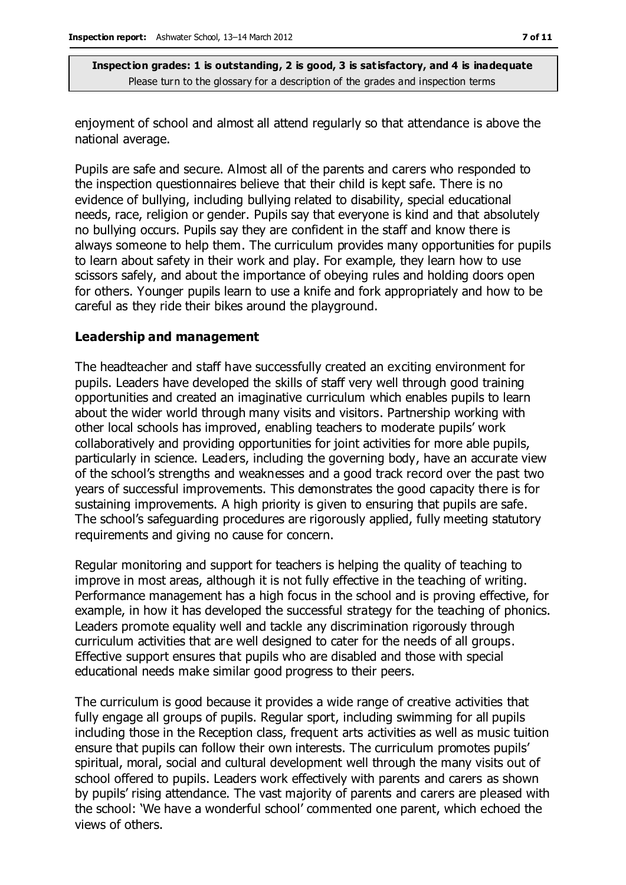enjoyment of school and almost all attend regularly so that attendance is above the national average.

Pupils are safe and secure. Almost all of the parents and carers who responded to the inspection questionnaires believe that their child is kept safe. There is no evidence of bullying, including bullying related to disability, special educational needs, race, religion or gender. Pupils say that everyone is kind and that absolutely no bullying occurs. Pupils say they are confident in the staff and know there is always someone to help them. The curriculum provides many opportunities for pupils to learn about safety in their work and play. For example, they learn how to use scissors safely, and about the importance of obeying rules and holding doors open for others. Younger pupils learn to use a knife and fork appropriately and how to be careful as they ride their bikes around the playground.

#### **Leadership and management**

The headteacher and staff have successfully created an exciting environment for pupils. Leaders have developed the skills of staff very well through good training opportunities and created an imaginative curriculum which enables pupils to learn about the wider world through many visits and visitors. Partnership working with other local schools has improved, enabling teachers to moderate pupils' work collaboratively and providing opportunities for joint activities for more able pupils, particularly in science. Leaders, including the governing body, have an accurate view of the school's strengths and weaknesses and a good track record over the past two years of successful improvements. This demonstrates the good capacity there is for sustaining improvements. A high priority is given to ensuring that pupils are safe. The school's safeguarding procedures are rigorously applied, fully meeting statutory requirements and giving no cause for concern.

Regular monitoring and support for teachers is helping the quality of teaching to improve in most areas, although it is not fully effective in the teaching of writing. Performance management has a high focus in the school and is proving effective, for example, in how it has developed the successful strategy for the teaching of phonics. Leaders promote equality well and tackle any discrimination rigorously through curriculum activities that are well designed to cater for the needs of all groups. Effective support ensures that pupils who are disabled and those with special educational needs make similar good progress to their peers.

The curriculum is good because it provides a wide range of creative activities that fully engage all groups of pupils. Regular sport, including swimming for all pupils including those in the Reception class, frequent arts activities as well as music tuition ensure that pupils can follow their own interests. The curriculum promotes pupils' spiritual, moral, social and cultural development well through the many visits out of school offered to pupils. Leaders work effectively with parents and carers as shown by pupils' rising attendance. The vast majority of parents and carers are pleased with the school: 'We have a wonderful school' commented one parent, which echoed the views of others.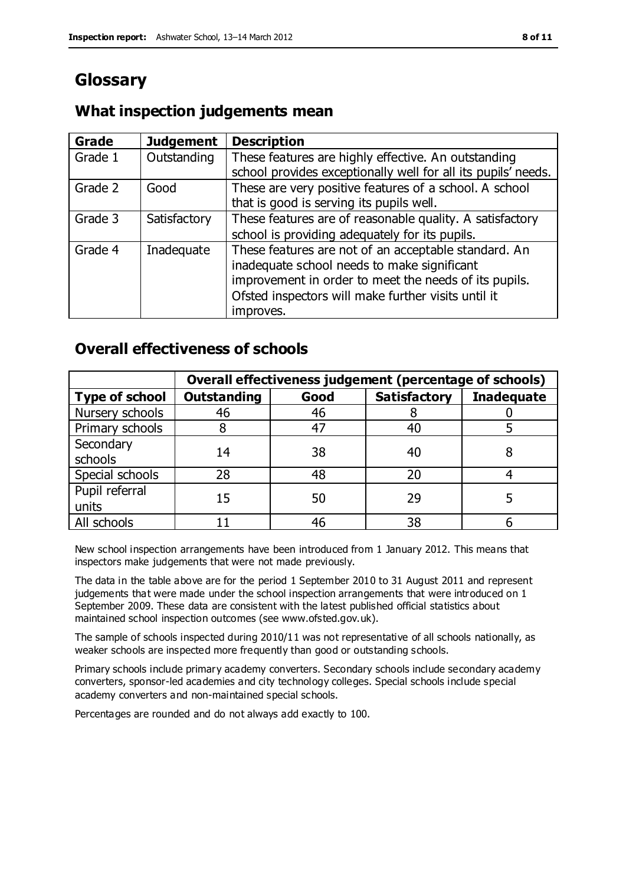# **Glossary**

### **What inspection judgements mean**

| Grade   | <b>Judgement</b> | <b>Description</b>                                                                                                                                                                                                               |
|---------|------------------|----------------------------------------------------------------------------------------------------------------------------------------------------------------------------------------------------------------------------------|
| Grade 1 | Outstanding      | These features are highly effective. An outstanding<br>school provides exceptionally well for all its pupils' needs.                                                                                                             |
| Grade 2 | Good             | These are very positive features of a school. A school<br>that is good is serving its pupils well.                                                                                                                               |
| Grade 3 | Satisfactory     | These features are of reasonable quality. A satisfactory<br>school is providing adequately for its pupils.                                                                                                                       |
| Grade 4 | Inadequate       | These features are not of an acceptable standard. An<br>inadequate school needs to make significant<br>improvement in order to meet the needs of its pupils.<br>Ofsted inspectors will make further visits until it<br>improves. |

### **Overall effectiveness of schools**

|                         | Overall effectiveness judgement (percentage of schools) |      |                     |                   |
|-------------------------|---------------------------------------------------------|------|---------------------|-------------------|
| <b>Type of school</b>   | <b>Outstanding</b>                                      | Good | <b>Satisfactory</b> | <b>Inadequate</b> |
| Nursery schools         | 46                                                      | 46   |                     |                   |
| Primary schools         |                                                         | 47   | 40                  |                   |
| Secondary<br>schools    | 14                                                      | 38   | 40                  |                   |
| Special schools         | 28                                                      | 48   | 20                  |                   |
| Pupil referral<br>units | 15                                                      | 50   | 29                  |                   |
| All schools             |                                                         | 46   | 38                  |                   |

New school inspection arrangements have been introduced from 1 January 2012. This means that inspectors make judgements that were not made previously.

The data in the table above are for the period 1 September 2010 to 31 August 2011 and represent judgements that were made under the school inspection arrangements that were introduced on 1 September 2009. These data are consistent with the latest published official statistics about maintained school inspection outcomes (see www.ofsted.gov.uk).

The sample of schools inspected during 2010/11 was not representative of all schools nationally, as weaker schools are inspected more frequently than good or outstanding schools.

Primary schools include primary academy converters. Secondary schools include secondary academy converters, sponsor-led academies and city technology colleges. Special schools include special academy converters and non-maintained special schools.

Percentages are rounded and do not always add exactly to 100.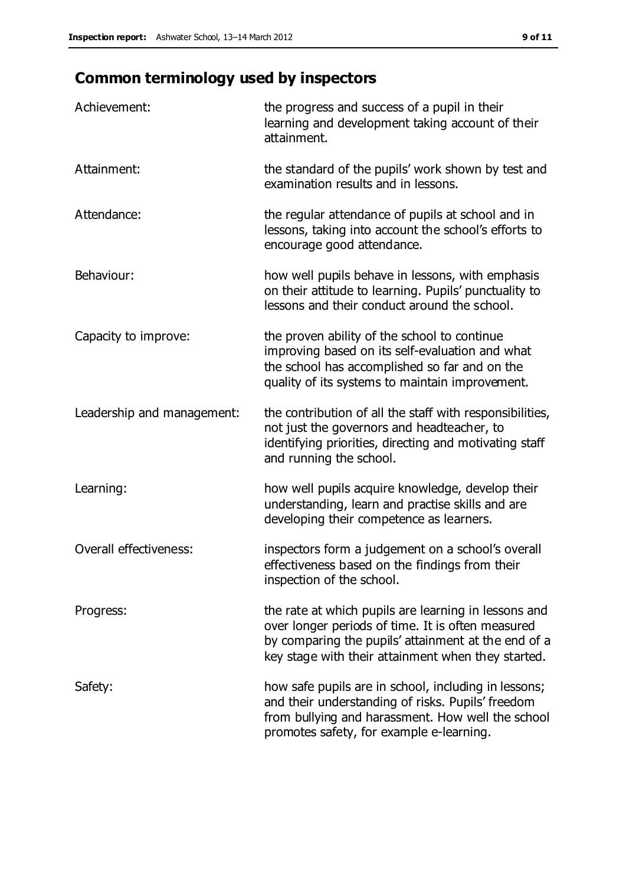# **Common terminology used by inspectors**

| Achievement:                  | the progress and success of a pupil in their<br>learning and development taking account of their<br>attainment.                                                                                                        |
|-------------------------------|------------------------------------------------------------------------------------------------------------------------------------------------------------------------------------------------------------------------|
| Attainment:                   | the standard of the pupils' work shown by test and<br>examination results and in lessons.                                                                                                                              |
| Attendance:                   | the regular attendance of pupils at school and in<br>lessons, taking into account the school's efforts to<br>encourage good attendance.                                                                                |
| Behaviour:                    | how well pupils behave in lessons, with emphasis<br>on their attitude to learning. Pupils' punctuality to<br>lessons and their conduct around the school.                                                              |
| Capacity to improve:          | the proven ability of the school to continue<br>improving based on its self-evaluation and what<br>the school has accomplished so far and on the<br>quality of its systems to maintain improvement.                    |
| Leadership and management:    | the contribution of all the staff with responsibilities,<br>not just the governors and headteacher, to<br>identifying priorities, directing and motivating staff<br>and running the school.                            |
| Learning:                     | how well pupils acquire knowledge, develop their<br>understanding, learn and practise skills and are<br>developing their competence as learners.                                                                       |
| <b>Overall effectiveness:</b> | inspectors form a judgement on a school's overall<br>effectiveness based on the findings from their<br>inspection of the school.                                                                                       |
| Progress:                     | the rate at which pupils are learning in lessons and<br>over longer periods of time. It is often measured<br>by comparing the pupils' attainment at the end of a<br>key stage with their attainment when they started. |
| Safety:                       | how safe pupils are in school, including in lessons;<br>and their understanding of risks. Pupils' freedom<br>from bullying and harassment. How well the school<br>promotes safety, for example e-learning.             |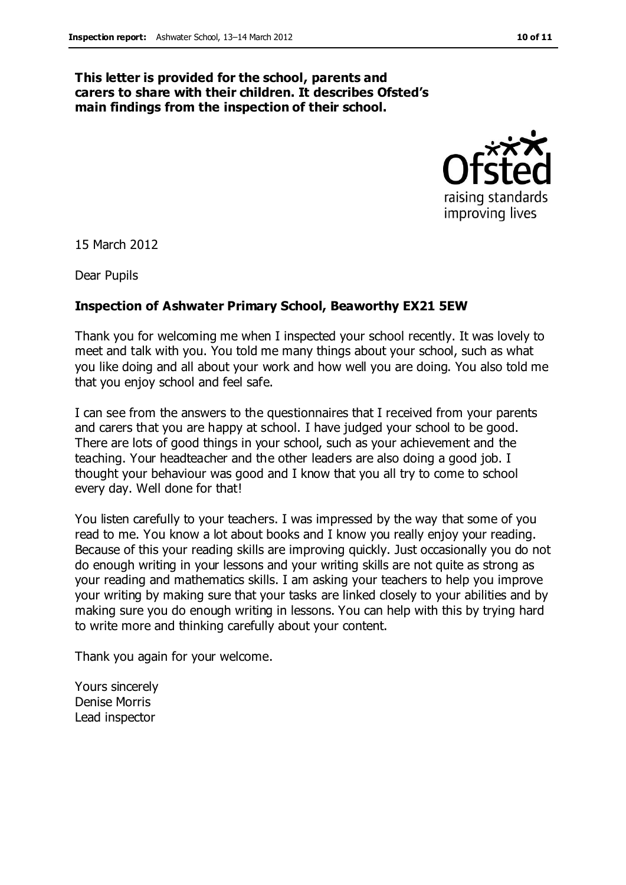#### **This letter is provided for the school, parents and carers to share with their children. It describes Ofsted's main findings from the inspection of their school.**



15 March 2012

Dear Pupils

#### **Inspection of Ashwater Primary School, Beaworthy EX21 5EW**

Thank you for welcoming me when I inspected your school recently. It was lovely to meet and talk with you. You told me many things about your school, such as what you like doing and all about your work and how well you are doing. You also told me that you enjoy school and feel safe.

I can see from the answers to the questionnaires that I received from your parents and carers that you are happy at school. I have judged your school to be good. There are lots of good things in your school, such as your achievement and the teaching. Your headteacher and the other leaders are also doing a good job. I thought your behaviour was good and I know that you all try to come to school every day. Well done for that!

You listen carefully to your teachers. I was impressed by the way that some of you read to me. You know a lot about books and I know you really enjoy your reading. Because of this your reading skills are improving quickly. Just occasionally you do not do enough writing in your lessons and your writing skills are not quite as strong as your reading and mathematics skills. I am asking your teachers to help you improve your writing by making sure that your tasks are linked closely to your abilities and by making sure you do enough writing in lessons. You can help with this by trying hard to write more and thinking carefully about your content.

Thank you again for your welcome.

Yours sincerely Denise Morris Lead inspector